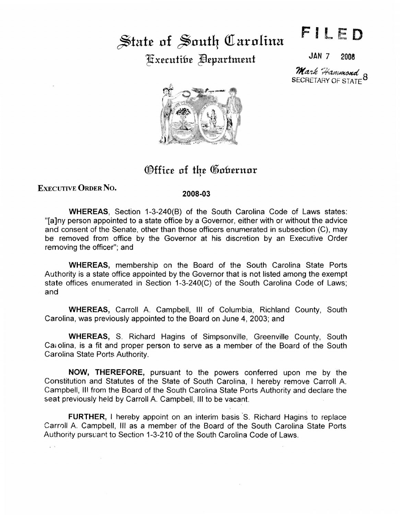## State of South Carolina ~x£.cutifn~ Jfl£partm£nt

JAN 7 2008

F ll ED

SECRETARY OF STATE<sup>O</sup> Mark Hammond



Office of the Gobernor

EXEcUTIVE ORDER No.

 $\epsilon$ 

## 2008-03

WHEREAS, Section 1-3-240(B) of the South Carolina Code of Laws states: "[a]ny person appointed to a state office by a Governor, either with or without the advice and consent of the Senate, other than those officers enumerated in subsection (C), may be removed from office by the Governor at his discretion by an Executive Order removing the officer"; and

WHEREAS, membership on the Board of the South Carolina State Ports Authority is a state office appointed by the Governor that is not listed among the exempt state offices enumerated in Section 1-3-240(C) of the South Carolina Code of Laws; and

WHEREAS, Carroll A. Campbell, Ill of Columbia, Richland County, South Carolina, was previously appointed to the Board on June 4, 2003; and

WHEREAS, S. Richard Hagins of Simpsonville, Greenville County, South Cai olina, is a fit and proper person to serve as a member of the Board of the South Carolina State Ports Authority.

NOW, THEREFORE, pursuant to the powers conferred upon me by the Constitution and Statutes of the State of South Carolina, I hereby remove Carroll A. Campbell, Ill from the Board of the South Carolina State Ports Authority and declare the seat previously held by Carroll A. Campbell, Ill to be vacant.

FURTHER, I hereby appoint on an interim basis S. Richard Hagins to replace Carroll A. Campbell, III as a member of the Board of the South Carolina State Ports Authority pursuant to Section 1-3-210 of the South Carolina Code of Laws.